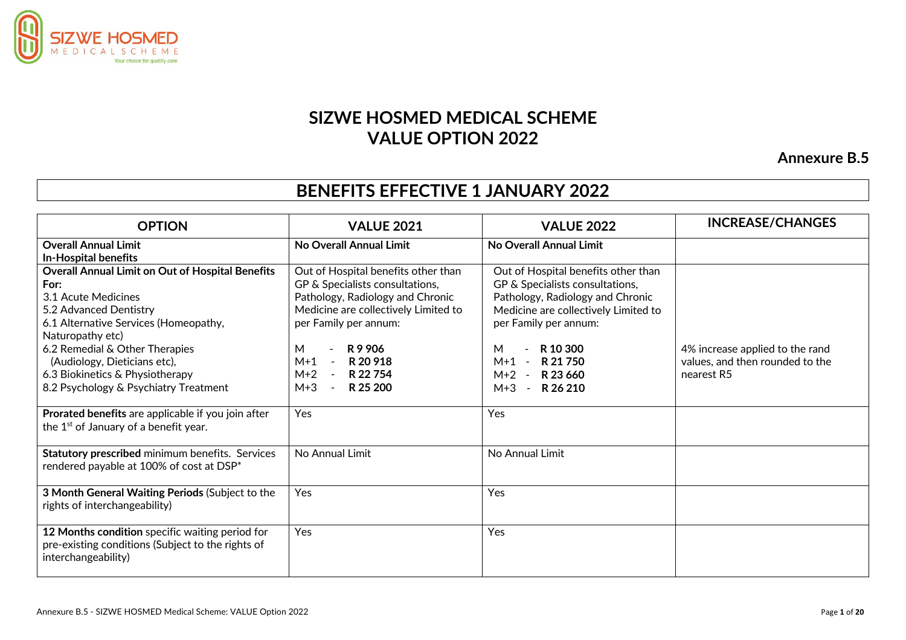

# **SIZWE HOSMED MEDICAL SCHEME VALUE OPTION 2022**

**Annexure B.5**

# **BENEFITS EFFECTIVE 1 JANUARY 2022**

| <b>OPTION</b>                                                                                                                                                                                                   | <b>VALUE 2021</b>                                                                                                                                                                                    | <b>VALUE 2022</b>                                                                                                                                                                            | <b>INCREASE/CHANGES</b>                       |
|-----------------------------------------------------------------------------------------------------------------------------------------------------------------------------------------------------------------|------------------------------------------------------------------------------------------------------------------------------------------------------------------------------------------------------|----------------------------------------------------------------------------------------------------------------------------------------------------------------------------------------------|-----------------------------------------------|
| <b>Overall Annual Limit</b><br><b>In-Hospital benefits</b>                                                                                                                                                      | No Overall Annual Limit                                                                                                                                                                              | No Overall Annual Limit                                                                                                                                                                      |                                               |
| <b>Overall Annual Limit on Out of Hospital Benefits</b><br>For:<br>3.1 Acute Medicines<br>5.2 Advanced Dentistry<br>6.1 Alternative Services (Homeopathy,<br>Naturopathy etc)<br>6.2 Remedial & Other Therapies | Out of Hospital benefits other than<br>GP & Specialists consultations,<br>Pathology, Radiology and Chronic<br>Medicine are collectively Limited to<br>per Family per annum:<br>R 9 906<br>М<br>$M+1$ | Out of Hospital benefits other than<br>GP & Specialists consultations,<br>Pathology, Radiology and Chronic<br>Medicine are collectively Limited to<br>per Family per annum:<br>R 10 300<br>М | 4% increase applied to the rand               |
| (Audiology, Dieticians etc),<br>6.3 Biokinetics & Physiotherapy<br>8.2 Psychology & Psychiatry Treatment                                                                                                        | R 20 918<br>$\sim$<br>$M+2 -$<br>R 22 754<br>$M+3$<br>R 25 200<br>$\sim$                                                                                                                             | $M+1$<br>R 21 750<br>$\overline{\phantom{a}}$<br>$M+2 - R$ 23 660<br>$M+3$<br>$\sim$ $-$<br>R 26 210                                                                                         | values, and then rounded to the<br>nearest R5 |
| Prorated benefits are applicable if you join after<br>the 1 <sup>st</sup> of January of a benefit year.                                                                                                         | Yes                                                                                                                                                                                                  | Yes                                                                                                                                                                                          |                                               |
| Statutory prescribed minimum benefits. Services<br>rendered payable at 100% of cost at DSP*                                                                                                                     | No Annual Limit                                                                                                                                                                                      | No Annual Limit                                                                                                                                                                              |                                               |
| 3 Month General Waiting Periods (Subject to the<br>rights of interchangeability)                                                                                                                                | Yes                                                                                                                                                                                                  | Yes                                                                                                                                                                                          |                                               |
| 12 Months condition specific waiting period for<br>pre-existing conditions (Subject to the rights of<br>interchangeability)                                                                                     | Yes                                                                                                                                                                                                  | Yes                                                                                                                                                                                          |                                               |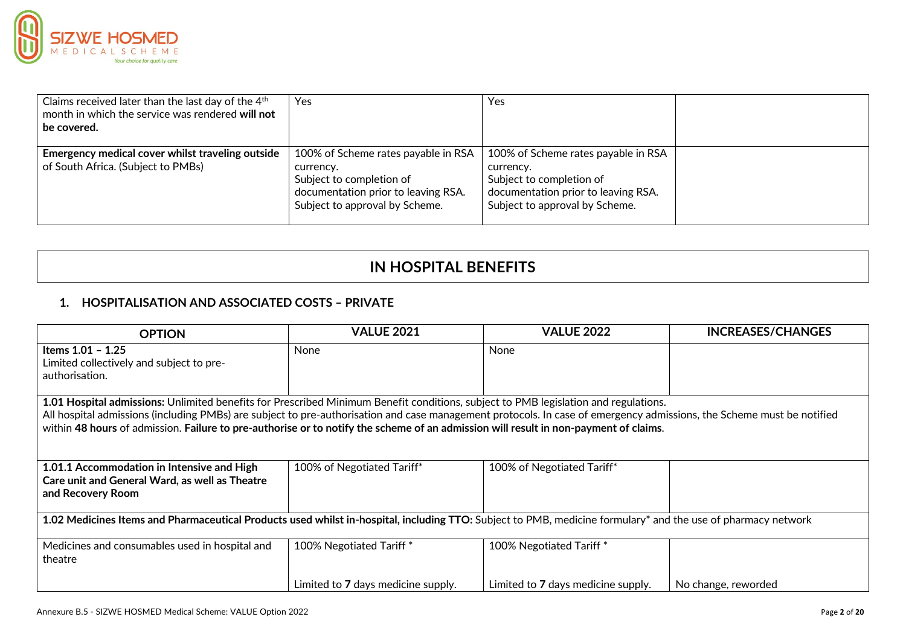

| Claims received later than the last day of the 4 <sup>th</sup><br>month in which the service was rendered will not<br>be covered. | Yes                                                                                                                                                   | Yes                                                                                                                                                   |  |
|-----------------------------------------------------------------------------------------------------------------------------------|-------------------------------------------------------------------------------------------------------------------------------------------------------|-------------------------------------------------------------------------------------------------------------------------------------------------------|--|
| Emergency medical cover whilst traveling outside<br>of South Africa. (Subject to PMBs)                                            | 100% of Scheme rates payable in RSA<br>currency.<br>Subject to completion of<br>documentation prior to leaving RSA.<br>Subject to approval by Scheme. | 100% of Scheme rates payable in RSA<br>currency.<br>Subject to completion of<br>documentation prior to leaving RSA.<br>Subject to approval by Scheme. |  |

## **IN HOSPITAL BENEFITS**

## **1. HOSPITALISATION AND ASSOCIATED COSTS – PRIVATE**

| <b>OPTION</b>                                                                                                                                                                                                                                                                                                                                                                                                                                        | <b>VALUE 2021</b>                  | <b>VALUE 2022</b>                  | <b>INCREASES/CHANGES</b> |  |  |
|------------------------------------------------------------------------------------------------------------------------------------------------------------------------------------------------------------------------------------------------------------------------------------------------------------------------------------------------------------------------------------------------------------------------------------------------------|------------------------------------|------------------------------------|--------------------------|--|--|
| Items 1.01 - 1.25<br>Limited collectively and subject to pre-<br>authorisation.                                                                                                                                                                                                                                                                                                                                                                      | None                               | None                               |                          |  |  |
| 1.01 Hospital admissions: Unlimited benefits for Prescribed Minimum Benefit conditions, subject to PMB legislation and regulations.<br>All hospital admissions (including PMBs) are subject to pre-authorisation and case management protocols. In case of emergency admissions, the Scheme must be notified<br>within 48 hours of admission. Failure to pre-authorise or to notify the scheme of an admission will result in non-payment of claims. |                                    |                                    |                          |  |  |
| 1.01.1 Accommodation in Intensive and High<br>Care unit and General Ward, as well as Theatre<br>and Recovery Room                                                                                                                                                                                                                                                                                                                                    | 100% of Negotiated Tariff*         | 100% of Negotiated Tariff*         |                          |  |  |
| 1.02 Medicines Items and Pharmaceutical Products used whilst in-hospital, including TTO: Subject to PMB, medicine formulary* and the use of pharmacy network                                                                                                                                                                                                                                                                                         |                                    |                                    |                          |  |  |
| Medicines and consumables used in hospital and<br>theatre                                                                                                                                                                                                                                                                                                                                                                                            | 100% Negotiated Tariff *           | 100% Negotiated Tariff*            |                          |  |  |
|                                                                                                                                                                                                                                                                                                                                                                                                                                                      | Limited to 7 days medicine supply. | Limited to 7 days medicine supply. | No change, reworded      |  |  |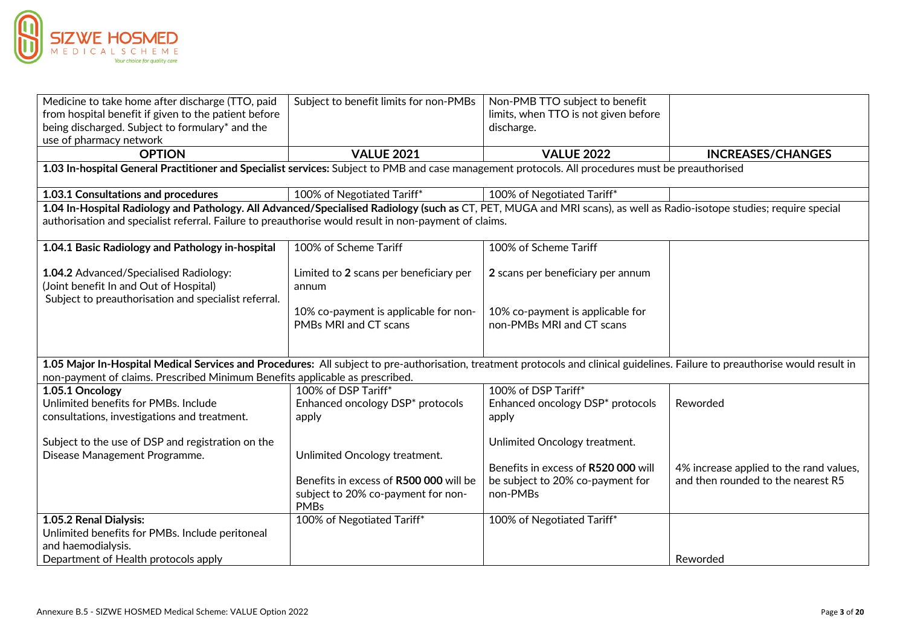

| Medicine to take home after discharge (TTO, paid                                                                                                                               | Subject to benefit limits for non-PMBs | Non-PMB TTO subject to benefit       |                                                                               |
|--------------------------------------------------------------------------------------------------------------------------------------------------------------------------------|----------------------------------------|--------------------------------------|-------------------------------------------------------------------------------|
| from hospital benefit if given to the patient before                                                                                                                           |                                        | limits, when TTO is not given before |                                                                               |
| being discharged. Subject to formulary* and the                                                                                                                                |                                        | discharge.                           |                                                                               |
| use of pharmacy network                                                                                                                                                        |                                        |                                      |                                                                               |
| <b>OPTION</b>                                                                                                                                                                  | <b>VALUE 2021</b>                      | <b>VALUE 2022</b>                    | <b>INCREASES/CHANGES</b>                                                      |
| 1.03 In-hospital General Practitioner and Specialist services: Subject to PMB and case management protocols. All procedures must be preauthorised                              |                                        |                                      |                                                                               |
|                                                                                                                                                                                |                                        |                                      |                                                                               |
| 1.03.1 Consultations and procedures                                                                                                                                            | 100% of Negotiated Tariff*             | 100% of Negotiated Tariff*           |                                                                               |
| 1.04 In-Hospital Radiology and Pathology. All Advanced/Specialised Radiology (such as CT, PET, MUGA and MRI scans), as well as Radio-isotope studies; require special          |                                        |                                      |                                                                               |
| authorisation and specialist referral. Failure to preauthorise would result in non-payment of claims.                                                                          |                                        |                                      |                                                                               |
|                                                                                                                                                                                |                                        |                                      |                                                                               |
| 1.04.1 Basic Radiology and Pathology in-hospital                                                                                                                               | 100% of Scheme Tariff                  | 100% of Scheme Tariff                |                                                                               |
| 1.04.2 Advanced/Specialised Radiology:                                                                                                                                         | Limited to 2 scans per beneficiary per | 2 scans per beneficiary per annum    |                                                                               |
| (Joint benefit In and Out of Hospital)                                                                                                                                         | annum                                  |                                      |                                                                               |
| Subject to preauthorisation and specialist referral.                                                                                                                           |                                        |                                      |                                                                               |
|                                                                                                                                                                                | 10% co-payment is applicable for non-  | 10% co-payment is applicable for     |                                                                               |
|                                                                                                                                                                                | PMBs MRI and CT scans                  | non-PMBs MRI and CT scans            |                                                                               |
|                                                                                                                                                                                |                                        |                                      |                                                                               |
|                                                                                                                                                                                |                                        |                                      |                                                                               |
| 1.05 Major In-Hospital Medical Services and Procedures: All subject to pre-authorisation, treatment protocols and clinical guidelines. Failure to preauthorise would result in |                                        |                                      |                                                                               |
| non-payment of claims. Prescribed Minimum Benefits applicable as prescribed.                                                                                                   |                                        |                                      |                                                                               |
| 1.05.1 Oncology                                                                                                                                                                | 100% of DSP Tariff*                    | 100% of DSP Tariff*                  |                                                                               |
| Unlimited benefits for PMBs. Include                                                                                                                                           | Enhanced oncology DSP* protocols       | Enhanced oncology DSP* protocols     | Reworded                                                                      |
| consultations, investigations and treatment.                                                                                                                                   | apply                                  | apply                                |                                                                               |
|                                                                                                                                                                                |                                        |                                      |                                                                               |
| Subject to the use of DSP and registration on the                                                                                                                              |                                        | Unlimited Oncology treatment.        |                                                                               |
| Disease Management Programme.                                                                                                                                                  | Unlimited Oncology treatment.          | Benefits in excess of R520 000 will  |                                                                               |
|                                                                                                                                                                                | Benefits in excess of R500 000 will be | be subject to 20% co-payment for     | 4% increase applied to the rand values,<br>and then rounded to the nearest R5 |
|                                                                                                                                                                                | subject to 20% co-payment for non-     | non-PMBs                             |                                                                               |
|                                                                                                                                                                                | <b>PMBs</b>                            |                                      |                                                                               |
| 1.05.2 Renal Dialysis:                                                                                                                                                         | 100% of Negotiated Tariff*             | 100% of Negotiated Tariff*           |                                                                               |
| Unlimited benefits for PMBs. Include peritoneal                                                                                                                                |                                        |                                      |                                                                               |
| and haemodialysis.                                                                                                                                                             |                                        |                                      |                                                                               |
| Department of Health protocols apply                                                                                                                                           |                                        |                                      | Reworded                                                                      |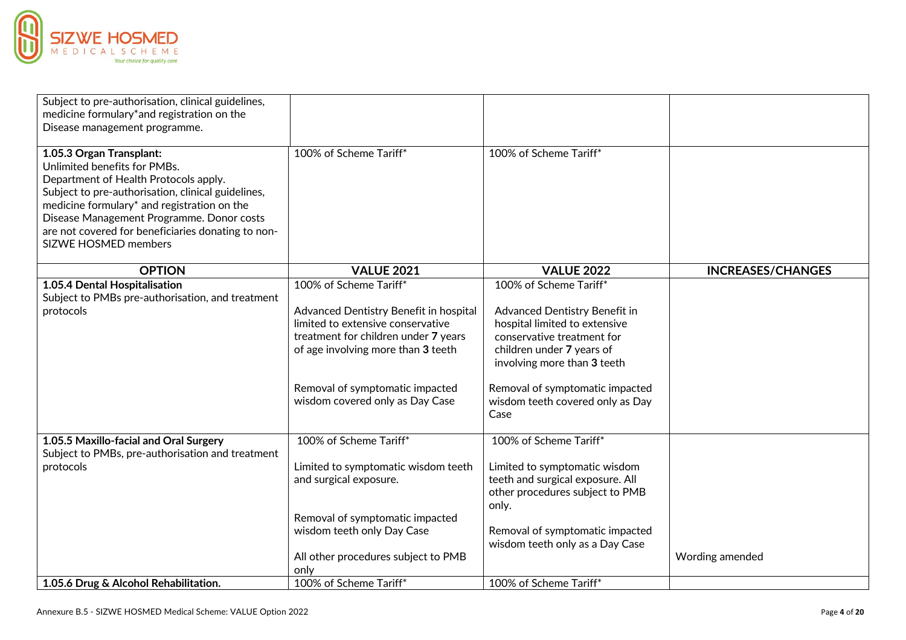

| Subject to pre-authorisation, clinical guidelines,<br>medicine formulary*and registration on the<br>Disease management programme.                                                                                                                                                                                                        |                                                                                                                                                                                                                                                           |                                                                                                                                                                                                                                                                   |                          |
|------------------------------------------------------------------------------------------------------------------------------------------------------------------------------------------------------------------------------------------------------------------------------------------------------------------------------------------|-----------------------------------------------------------------------------------------------------------------------------------------------------------------------------------------------------------------------------------------------------------|-------------------------------------------------------------------------------------------------------------------------------------------------------------------------------------------------------------------------------------------------------------------|--------------------------|
| 1.05.3 Organ Transplant:<br>Unlimited benefits for PMBs.<br>Department of Health Protocols apply.<br>Subject to pre-authorisation, clinical guidelines,<br>medicine formulary* and registration on the<br>Disease Management Programme. Donor costs<br>are not covered for beneficiaries donating to non-<br><b>SIZWE HOSMED members</b> | 100% of Scheme Tariff*                                                                                                                                                                                                                                    | 100% of Scheme Tariff*                                                                                                                                                                                                                                            |                          |
| <b>OPTION</b>                                                                                                                                                                                                                                                                                                                            | <b>VALUE 2021</b>                                                                                                                                                                                                                                         | <b>VALUE 2022</b>                                                                                                                                                                                                                                                 | <b>INCREASES/CHANGES</b> |
| 1.05.4 Dental Hospitalisation<br>Subject to PMBs pre-authorisation, and treatment<br>protocols                                                                                                                                                                                                                                           | 100% of Scheme Tariff*<br>Advanced Dentistry Benefit in hospital<br>limited to extensive conservative<br>treatment for children under 7 years<br>of age involving more than 3 teeth<br>Removal of symptomatic impacted<br>wisdom covered only as Day Case | 100% of Scheme Tariff*<br>Advanced Dentistry Benefit in<br>hospital limited to extensive<br>conservative treatment for<br>children under 7 years of<br>involving more than 3 teeth<br>Removal of symptomatic impacted<br>wisdom teeth covered only as Day<br>Case |                          |
| 1.05.5 Maxillo-facial and Oral Surgery                                                                                                                                                                                                                                                                                                   | 100% of Scheme Tariff*                                                                                                                                                                                                                                    | 100% of Scheme Tariff*                                                                                                                                                                                                                                            |                          |
| Subject to PMBs, pre-authorisation and treatment<br>protocols                                                                                                                                                                                                                                                                            | Limited to symptomatic wisdom teeth<br>and surgical exposure.<br>Removal of symptomatic impacted<br>wisdom teeth only Day Case                                                                                                                            | Limited to symptomatic wisdom<br>teeth and surgical exposure. All<br>other procedures subject to PMB<br>only.<br>Removal of symptomatic impacted                                                                                                                  |                          |
|                                                                                                                                                                                                                                                                                                                                          | All other procedures subject to PMB<br>only                                                                                                                                                                                                               | wisdom teeth only as a Day Case                                                                                                                                                                                                                                   | Wording amended          |
| 1.05.6 Drug & Alcohol Rehabilitation.                                                                                                                                                                                                                                                                                                    | 100% of Scheme Tariff*                                                                                                                                                                                                                                    | 100% of Scheme Tariff*                                                                                                                                                                                                                                            |                          |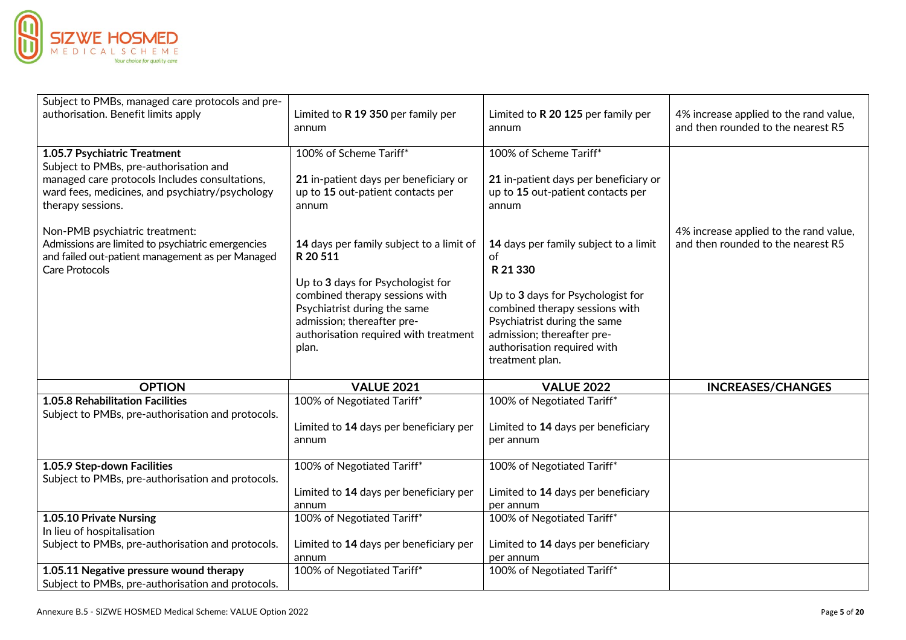

| Subject to PMBs, managed care protocols and pre-<br>authorisation. Benefit limits apply                                                                                                          | Limited to R 19 350 per family per<br>annum                                                                                                                                                                                                 | Limited to R 20 125 per family per<br>annum                                                                                                                                                                                                    | 4% increase applied to the rand value,<br>and then rounded to the nearest R5 |
|--------------------------------------------------------------------------------------------------------------------------------------------------------------------------------------------------|---------------------------------------------------------------------------------------------------------------------------------------------------------------------------------------------------------------------------------------------|------------------------------------------------------------------------------------------------------------------------------------------------------------------------------------------------------------------------------------------------|------------------------------------------------------------------------------|
| 1.05.7 Psychiatric Treatment<br>Subject to PMBs, pre-authorisation and<br>managed care protocols Includes consultations,<br>ward fees, medicines, and psychiatry/psychology<br>therapy sessions. | 100% of Scheme Tariff*<br>21 in-patient days per beneficiary or<br>up to 15 out-patient contacts per<br>annum                                                                                                                               | 100% of Scheme Tariff*<br>21 in-patient days per beneficiary or<br>up to 15 out-patient contacts per<br>annum                                                                                                                                  |                                                                              |
| Non-PMB psychiatric treatment:<br>Admissions are limited to psychiatric emergencies<br>and failed out-patient management as per Managed<br><b>Care Protocols</b>                                 | 14 days per family subject to a limit of<br>R 20 511<br>Up to 3 days for Psychologist for<br>combined therapy sessions with<br>Psychiatrist during the same<br>admission; thereafter pre-<br>authorisation required with treatment<br>plan. | 14 days per family subject to a limit<br>of<br>R 21 330<br>Up to 3 days for Psychologist for<br>combined therapy sessions with<br>Psychiatrist during the same<br>admission; thereafter pre-<br>authorisation required with<br>treatment plan. | 4% increase applied to the rand value,<br>and then rounded to the nearest R5 |
| <b>OPTION</b>                                                                                                                                                                                    | <b>VALUE 2021</b>                                                                                                                                                                                                                           | <b>VALUE 2022</b>                                                                                                                                                                                                                              | <b>INCREASES/CHANGES</b>                                                     |
| 1.05.8 Rehabilitation Facilities<br>Subject to PMBs, pre-authorisation and protocols.                                                                                                            | 100% of Negotiated Tariff*<br>Limited to 14 days per beneficiary per<br>annum                                                                                                                                                               | 100% of Negotiated Tariff*<br>Limited to 14 days per beneficiary<br>per annum                                                                                                                                                                  |                                                                              |
| 1.05.9 Step-down Facilities<br>Subject to PMBs, pre-authorisation and protocols.                                                                                                                 | 100% of Negotiated Tariff*<br>Limited to 14 days per beneficiary per<br>annum                                                                                                                                                               | 100% of Negotiated Tariff*<br>Limited to 14 days per beneficiary<br>per annum                                                                                                                                                                  |                                                                              |
| 1.05.10 Private Nursing<br>In lieu of hospitalisation<br>Subject to PMBs, pre-authorisation and protocols.                                                                                       | 100% of Negotiated Tariff*<br>Limited to 14 days per beneficiary per<br>annum                                                                                                                                                               | 100% of Negotiated Tariff*<br>Limited to 14 days per beneficiary<br>per annum                                                                                                                                                                  |                                                                              |
| 1.05.11 Negative pressure wound therapy<br>Subject to PMBs, pre-authorisation and protocols.                                                                                                     | 100% of Negotiated Tariff*                                                                                                                                                                                                                  | 100% of Negotiated Tariff*                                                                                                                                                                                                                     |                                                                              |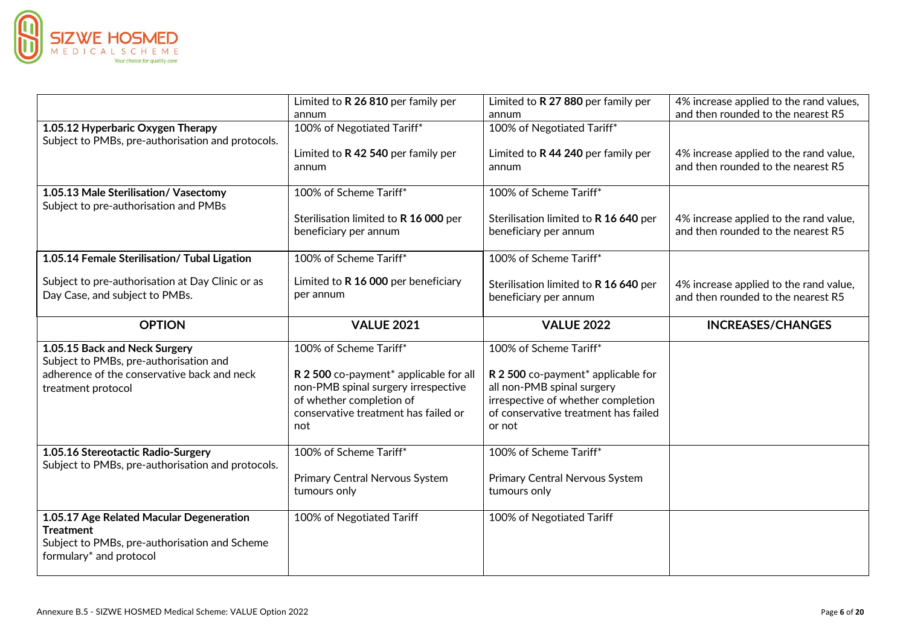

|                                                                                         | Limited to R 26 810 per family per                                                                                                                       | Limited to R 27 880 per family per                                                                                                                       | 4% increase applied to the rand values,                                      |
|-----------------------------------------------------------------------------------------|----------------------------------------------------------------------------------------------------------------------------------------------------------|----------------------------------------------------------------------------------------------------------------------------------------------------------|------------------------------------------------------------------------------|
|                                                                                         | annum                                                                                                                                                    | annum                                                                                                                                                    | and then rounded to the nearest R5                                           |
| 1.05.12 Hyperbaric Oxygen Therapy<br>Subject to PMBs, pre-authorisation and protocols.  | 100% of Negotiated Tariff*                                                                                                                               | 100% of Negotiated Tariff*                                                                                                                               |                                                                              |
|                                                                                         | Limited to R 42 540 per family per<br>annum                                                                                                              | Limited to R 44 240 per family per<br>annum                                                                                                              | 4% increase applied to the rand value,<br>and then rounded to the nearest R5 |
| 1.05.13 Male Sterilisation/ Vasectomy<br>Subject to pre-authorisation and PMBs          | 100% of Scheme Tariff*                                                                                                                                   | 100% of Scheme Tariff*                                                                                                                                   |                                                                              |
|                                                                                         | Sterilisation limited to R 16 000 per<br>beneficiary per annum                                                                                           | Sterilisation limited to R 16 640 per<br>beneficiary per annum                                                                                           | 4% increase applied to the rand value,<br>and then rounded to the nearest R5 |
| 1.05.14 Female Sterilisation/ Tubal Ligation                                            | 100% of Scheme Tariff*                                                                                                                                   | 100% of Scheme Tariff*                                                                                                                                   |                                                                              |
| Subject to pre-authorisation at Day Clinic or as<br>Day Case, and subject to PMBs.      | Limited to R 16 000 per beneficiary<br>per annum                                                                                                         | Sterilisation limited to R 16 640 per<br>beneficiary per annum                                                                                           | 4% increase applied to the rand value,<br>and then rounded to the nearest R5 |
| <b>OPTION</b>                                                                           | <b>VALUE 2021</b>                                                                                                                                        | <b>VALUE 2022</b>                                                                                                                                        | <b>INCREASES/CHANGES</b>                                                     |
|                                                                                         |                                                                                                                                                          |                                                                                                                                                          |                                                                              |
| 1.05.15 Back and Neck Surgery<br>Subject to PMBs, pre-authorisation and                 | 100% of Scheme Tariff*                                                                                                                                   | 100% of Scheme Tariff*                                                                                                                                   |                                                                              |
| adherence of the conservative back and neck<br>treatment protocol                       | R 2 500 co-payment* applicable for all<br>non-PMB spinal surgery irrespective<br>of whether completion of<br>conservative treatment has failed or<br>not | R 2 500 co-payment* applicable for<br>all non-PMB spinal surgery<br>irrespective of whether completion<br>of conservative treatment has failed<br>or not |                                                                              |
| 1.05.16 Stereotactic Radio-Surgery<br>Subject to PMBs, pre-authorisation and protocols. | 100% of Scheme Tariff*                                                                                                                                   | 100% of Scheme Tariff*                                                                                                                                   |                                                                              |
|                                                                                         | Primary Central Nervous System<br>tumours only                                                                                                           | Primary Central Nervous System<br>tumours only                                                                                                           |                                                                              |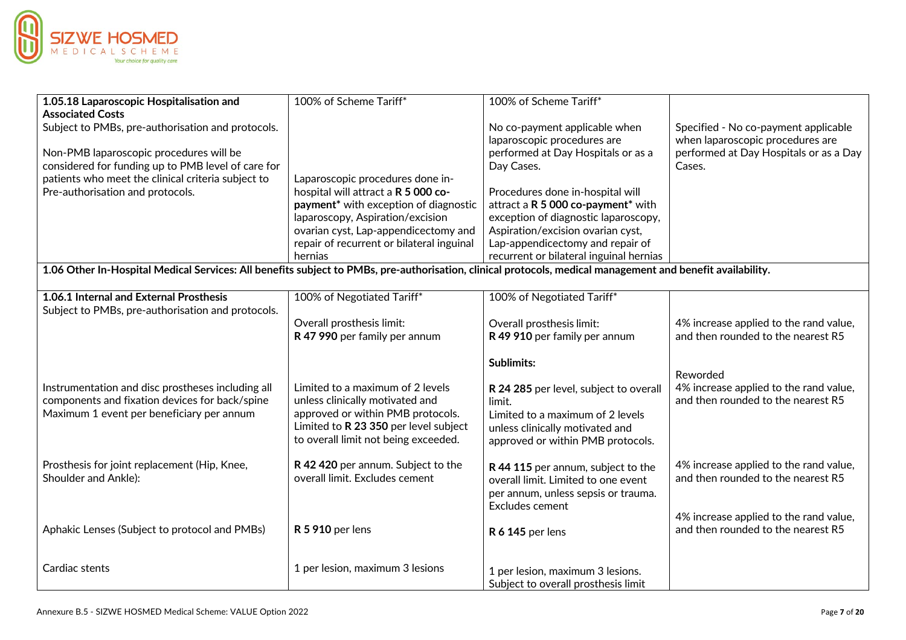

| 1.05.18 Laparoscopic Hospitalisation and                                                                                                                   | 100% of Scheme Tariff*                            | 100% of Scheme Tariff*                                       |                                                                          |
|------------------------------------------------------------------------------------------------------------------------------------------------------------|---------------------------------------------------|--------------------------------------------------------------|--------------------------------------------------------------------------|
| <b>Associated Costs</b>                                                                                                                                    |                                                   |                                                              |                                                                          |
| Subject to PMBs, pre-authorisation and protocols.                                                                                                          |                                                   | No co-payment applicable when<br>laparoscopic procedures are | Specified - No co-payment applicable<br>when laparoscopic procedures are |
| Non-PMB laparoscopic procedures will be                                                                                                                    |                                                   | performed at Day Hospitals or as a                           | performed at Day Hospitals or as a Day                                   |
| considered for funding up to PMB level of care for                                                                                                         |                                                   | Day Cases.                                                   | Cases.                                                                   |
| patients who meet the clinical criteria subject to                                                                                                         | Laparoscopic procedures done in-                  |                                                              |                                                                          |
| Pre-authorisation and protocols.                                                                                                                           | hospital will attract a R 5 000 co-               | Procedures done in-hospital will                             |                                                                          |
|                                                                                                                                                            | payment <sup>*</sup> with exception of diagnostic | attract a R 5 000 co-payment* with                           |                                                                          |
|                                                                                                                                                            | laparoscopy, Aspiration/excision                  | exception of diagnostic laparoscopy,                         |                                                                          |
|                                                                                                                                                            | ovarian cyst, Lap-appendicectomy and              | Aspiration/excision ovarian cyst,                            |                                                                          |
|                                                                                                                                                            | repair of recurrent or bilateral inguinal         | Lap-appendicectomy and repair of                             |                                                                          |
|                                                                                                                                                            | hernias                                           | recurrent or bilateral inguinal hernias                      |                                                                          |
| 1.06 Other In-Hospital Medical Services: All benefits subject to PMBs, pre-authorisation, clinical protocols, medical management and benefit availability. |                                                   |                                                              |                                                                          |
| 1.06.1 Internal and External Prosthesis                                                                                                                    |                                                   |                                                              |                                                                          |
| Subject to PMBs, pre-authorisation and protocols.                                                                                                          | 100% of Negotiated Tariff*                        | 100% of Negotiated Tariff*                                   |                                                                          |
|                                                                                                                                                            | Overall prosthesis limit:                         | Overall prosthesis limit:                                    | 4% increase applied to the rand value,                                   |
|                                                                                                                                                            | R 47 990 per family per annum                     | R 49 910 per family per annum                                | and then rounded to the nearest R5                                       |
|                                                                                                                                                            |                                                   |                                                              |                                                                          |
|                                                                                                                                                            |                                                   | <b>Sublimits:</b>                                            |                                                                          |
|                                                                                                                                                            |                                                   |                                                              | Reworded                                                                 |
| Instrumentation and disc prostheses including all                                                                                                          | Limited to a maximum of 2 levels                  | R 24 285 per level, subject to overall                       | 4% increase applied to the rand value,                                   |
| components and fixation devices for back/spine                                                                                                             | unless clinically motivated and                   | limit.                                                       | and then rounded to the nearest R5                                       |
| Maximum 1 event per beneficiary per annum                                                                                                                  | approved or within PMB protocols.                 | Limited to a maximum of 2 levels                             |                                                                          |
|                                                                                                                                                            | Limited to R 23 350 per level subject             | unless clinically motivated and                              |                                                                          |
|                                                                                                                                                            | to overall limit not being exceeded.              | approved or within PMB protocols.                            |                                                                          |
| Prosthesis for joint replacement (Hip, Knee,                                                                                                               | R 42 420 per annum. Subject to the                |                                                              | 4% increase applied to the rand value,                                   |
| Shoulder and Ankle):                                                                                                                                       | overall limit. Excludes cement                    | R 44 115 per annum, subject to the                           | and then rounded to the nearest R5                                       |
|                                                                                                                                                            |                                                   | overall limit. Limited to one event                          |                                                                          |
|                                                                                                                                                            |                                                   | per annum, unless sepsis or trauma.<br>Excludes cement       |                                                                          |
|                                                                                                                                                            |                                                   |                                                              | 4% increase applied to the rand value,                                   |
| Aphakic Lenses (Subject to protocol and PMBs)                                                                                                              | <b>R 5 910 per lens</b>                           | <b>R 6 145 per lens</b>                                      | and then rounded to the nearest R5                                       |
|                                                                                                                                                            |                                                   |                                                              |                                                                          |
|                                                                                                                                                            |                                                   |                                                              |                                                                          |
| Cardiac stents                                                                                                                                             | 1 per lesion, maximum 3 lesions                   | 1 per lesion, maximum 3 lesions.                             |                                                                          |
|                                                                                                                                                            |                                                   | Subject to overall prosthesis limit                          |                                                                          |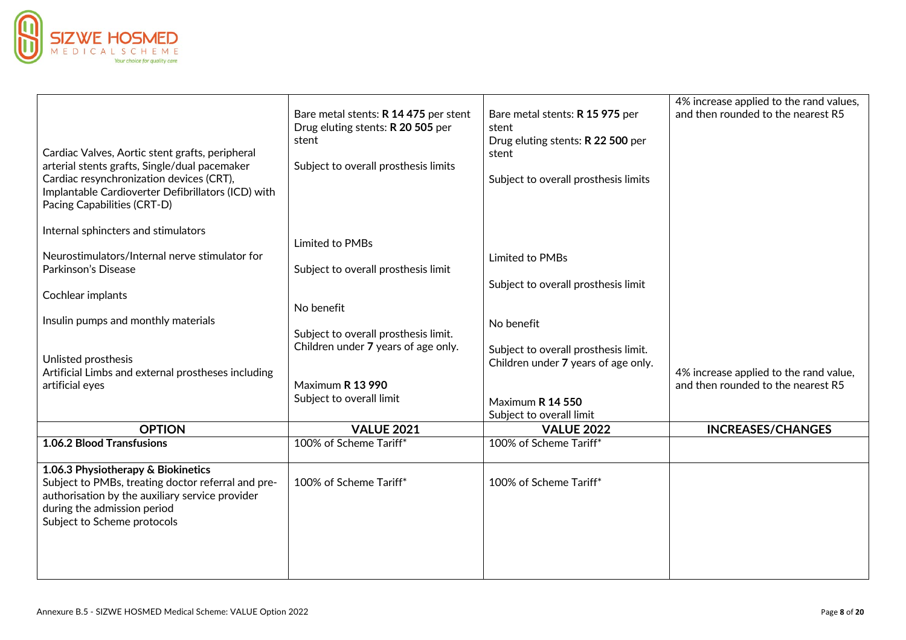

| Cardiac Valves, Aortic stent grafts, peripheral<br>arterial stents grafts, Single/dual pacemaker<br>Cardiac resynchronization devices (CRT),<br>Implantable Cardioverter Defibrillators (ICD) with<br>Pacing Capabilities (CRT-D) | Bare metal stents: R 14 475 per stent<br>Drug eluting stents: R 20 505 per<br>stent<br>Subject to overall prosthesis limits | Bare metal stents: R 15 975 per<br>stent<br>Drug eluting stents: R 22 500 per<br>stent<br>Subject to overall prosthesis limits | 4% increase applied to the rand values,<br>and then rounded to the nearest R5 |
|-----------------------------------------------------------------------------------------------------------------------------------------------------------------------------------------------------------------------------------|-----------------------------------------------------------------------------------------------------------------------------|--------------------------------------------------------------------------------------------------------------------------------|-------------------------------------------------------------------------------|
| Internal sphincters and stimulators<br>Neurostimulators/Internal nerve stimulator for                                                                                                                                             | Limited to PMBs                                                                                                             | Limited to PMBs                                                                                                                |                                                                               |
| Parkinson's Disease                                                                                                                                                                                                               | Subject to overall prosthesis limit                                                                                         | Subject to overall prosthesis limit                                                                                            |                                                                               |
| Cochlear implants                                                                                                                                                                                                                 | No benefit                                                                                                                  |                                                                                                                                |                                                                               |
| Insulin pumps and monthly materials                                                                                                                                                                                               | Subject to overall prosthesis limit.                                                                                        | No benefit                                                                                                                     |                                                                               |
| Unlisted prosthesis<br>Artificial Limbs and external prostheses including                                                                                                                                                         | Children under 7 years of age only.                                                                                         | Subject to overall prosthesis limit.<br>Children under 7 years of age only.                                                    | 4% increase applied to the rand value,                                        |
| artificial eyes                                                                                                                                                                                                                   | Maximum R 13 990<br>Subject to overall limit                                                                                | Maximum R 14 550<br>Subject to overall limit                                                                                   | and then rounded to the nearest R5                                            |
| <b>OPTION</b>                                                                                                                                                                                                                     | <b>VALUE 2021</b>                                                                                                           | <b>VALUE 2022</b>                                                                                                              | <b>INCREASES/CHANGES</b>                                                      |
| 1.06.2 Blood Transfusions                                                                                                                                                                                                         | 100% of Scheme Tariff*                                                                                                      | 100% of Scheme Tariff*                                                                                                         |                                                                               |
| 1.06.3 Physiotherapy & Biokinetics<br>Subject to PMBs, treating doctor referral and pre-<br>authorisation by the auxiliary service provider<br>during the admission period<br>Subject to Scheme protocols                         | 100% of Scheme Tariff*                                                                                                      | 100% of Scheme Tariff*                                                                                                         |                                                                               |
|                                                                                                                                                                                                                                   |                                                                                                                             |                                                                                                                                |                                                                               |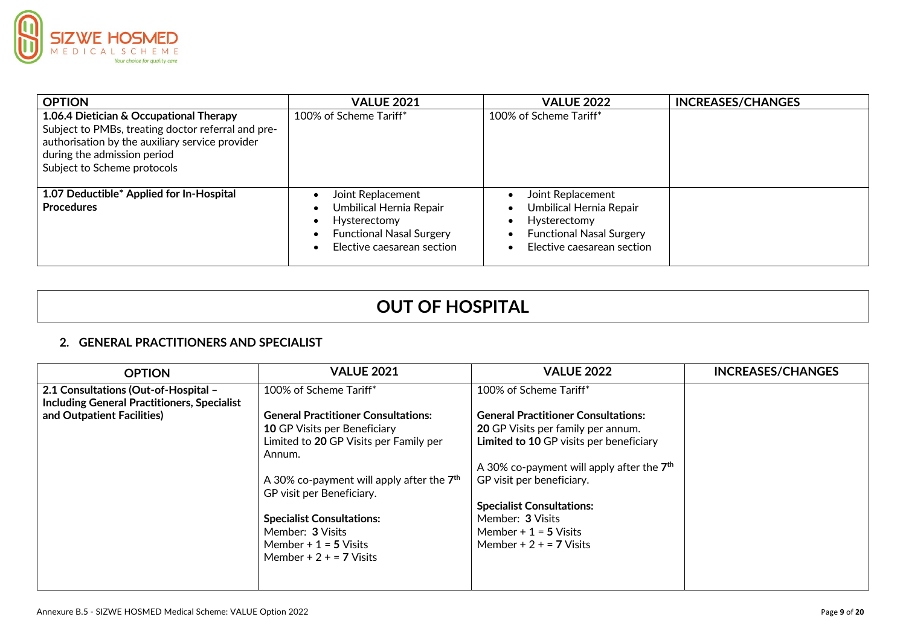

| <b>OPTION</b>                                                                                                                                                                                                  | <b>VALUE 2021</b>                                                                                                             | <b>VALUE 2022</b>                                                                                                                          | <b>INCREASES/CHANGES</b> |
|----------------------------------------------------------------------------------------------------------------------------------------------------------------------------------------------------------------|-------------------------------------------------------------------------------------------------------------------------------|--------------------------------------------------------------------------------------------------------------------------------------------|--------------------------|
| 1.06.4 Dietician & Occupational Therapy<br>Subject to PMBs, treating doctor referral and pre-<br>authorisation by the auxiliary service provider<br>during the admission period<br>Subject to Scheme protocols | 100% of Scheme Tariff*                                                                                                        | 100% of Scheme Tariff*                                                                                                                     |                          |
| 1.07 Deductible* Applied for In-Hospital<br><b>Procedures</b>                                                                                                                                                  | Joint Replacement<br>Umbilical Hernia Repair<br>Hysterectomy<br><b>Functional Nasal Surgery</b><br>Elective caesarean section | Joint Replacement<br>Umbilical Hernia Repair<br>Hysterectomy<br><b>Functional Nasal Surgery</b><br>Elective caesarean section<br>$\bullet$ |                          |

# **OUT OF HOSPITAL**

### **2. GENERAL PRACTITIONERS AND SPECIALIST**

| <b>OPTION</b>                                      | <b>VALUE 2021</b>                           | <b>VALUE 2022</b>                           | <b>INCREASES/CHANGES</b> |
|----------------------------------------------------|---------------------------------------------|---------------------------------------------|--------------------------|
| 2.1 Consultations (Out-of-Hospital –               | 100% of Scheme Tariff*                      | 100% of Scheme Tariff*                      |                          |
| <b>Including General Practitioners, Specialist</b> |                                             |                                             |                          |
| and Outpatient Facilities)                         | <b>General Practitioner Consultations:</b>  | <b>General Practitioner Consultations:</b>  |                          |
|                                                    | <b>10 GP Visits per Beneficiary</b>         | <b>20 GP Visits per family per annum.</b>   |                          |
|                                                    | Limited to 20 GP Visits per Family per      | Limited to 10 GP visits per beneficiary     |                          |
|                                                    | Annum.                                      |                                             |                          |
|                                                    |                                             | A 30% co-payment will apply after the $7th$ |                          |
|                                                    | A 30% co-payment will apply after the $7th$ | GP visit per beneficiary.                   |                          |
|                                                    | GP visit per Beneficiary.                   |                                             |                          |
|                                                    |                                             | <b>Specialist Consultations:</b>            |                          |
|                                                    | <b>Specialist Consultations:</b>            | Member: 3 Visits                            |                          |
|                                                    | Member: 3 Visits                            | Member $+1 = 5$ Visits                      |                          |
|                                                    | Member $+1 = 5$ Visits                      | Member + $2 + 7$ Visits                     |                          |
|                                                    | Member + $2 + 7$ Visits                     |                                             |                          |
|                                                    |                                             |                                             |                          |
|                                                    |                                             |                                             |                          |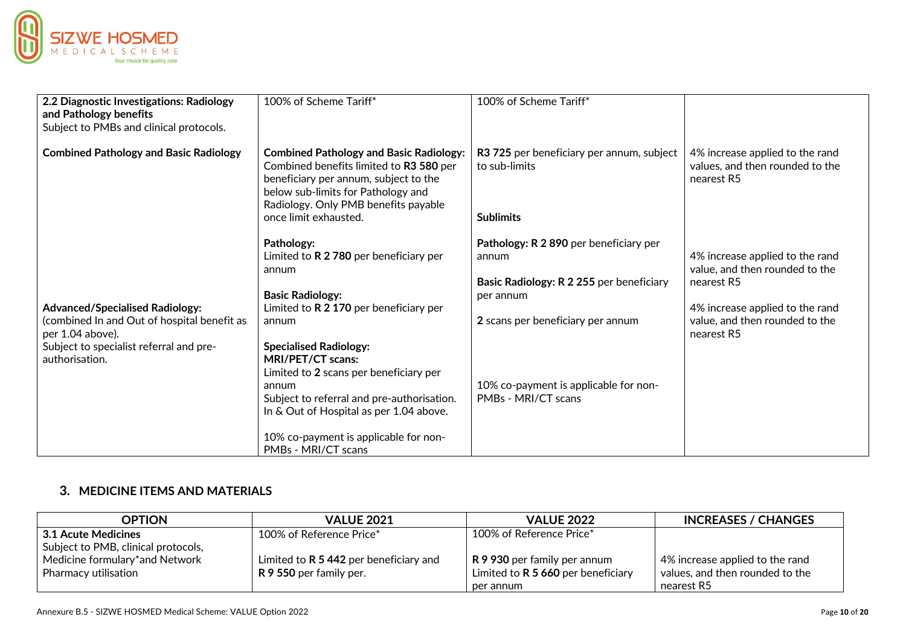

| 2.2 Diagnostic Investigations: Radiology<br>and Pathology benefits<br>Subject to PMBs and clinical protocols.                                                          | 100% of Scheme Tariff*                                                                                                                                                                                                                                                                                                                                                                                            | 100% of Scheme Tariff*                                                                                                                                                                                        |                                                                                                                                                                    |
|------------------------------------------------------------------------------------------------------------------------------------------------------------------------|-------------------------------------------------------------------------------------------------------------------------------------------------------------------------------------------------------------------------------------------------------------------------------------------------------------------------------------------------------------------------------------------------------------------|---------------------------------------------------------------------------------------------------------------------------------------------------------------------------------------------------------------|--------------------------------------------------------------------------------------------------------------------------------------------------------------------|
| <b>Combined Pathology and Basic Radiology</b>                                                                                                                          | <b>Combined Pathology and Basic Radiology:</b><br>Combined benefits limited to R3 580 per<br>beneficiary per annum, subject to the<br>below sub-limits for Pathology and<br>Radiology. Only PMB benefits payable<br>once limit exhausted.                                                                                                                                                                         | R3 725 per beneficiary per annum, subject<br>to sub-limits<br><b>Sublimits</b>                                                                                                                                | 4% increase applied to the rand<br>values, and then rounded to the<br>nearest R5                                                                                   |
| <b>Advanced/Specialised Radiology:</b><br>(combined In and Out of hospital benefit as<br>per 1.04 above).<br>Subject to specialist referral and pre-<br>authorisation. | Pathology:<br>Limited to $R$ 2 780 per beneficiary per<br>annum<br><b>Basic Radiology:</b><br>Limited to $R$ 2 170 per beneficiary per<br>annum<br><b>Specialised Radiology:</b><br>MRI/PET/CT scans:<br>Limited to 2 scans per beneficiary per<br>annum<br>Subject to referral and pre-authorisation.<br>In & Out of Hospital as per 1.04 above.<br>10% co-payment is applicable for non-<br>PMBs - MRI/CT scans | Pathology: R 2 890 per beneficiary per<br>annum<br>Basic Radiology: R 2 255 per beneficiary<br>per annum<br>2 scans per beneficiary per annum<br>10% co-payment is applicable for non-<br>PMBs - MRI/CT scans | 4% increase applied to the rand<br>value, and then rounded to the<br>nearest R5<br>4% increase applied to the rand<br>value, and then rounded to the<br>nearest R5 |

## **3. MEDICINE ITEMS AND MATERIALS**

| <b>OPTION</b>                       | <b>VALUE 2021</b>                        | <b>VALUE 2022</b>                  | <b>INCREASES / CHANGES</b>      |
|-------------------------------------|------------------------------------------|------------------------------------|---------------------------------|
| 3.1 Acute Medicines                 | 100% of Reference Price*                 | 100% of Reference Price*           |                                 |
| Subject to PMB, clinical protocols, |                                          |                                    |                                 |
| Medicine formulary*and Network      | Limited to $R$ 5 442 per beneficiary and | R 9 930 per family per annum       | 4% increase applied to the rand |
| Pharmacy utilisation                | <b>R 9 550</b> per family per.           | Limited to R 5 660 per beneficiary | values, and then rounded to the |
|                                     |                                          | per annum                          | nearest R5                      |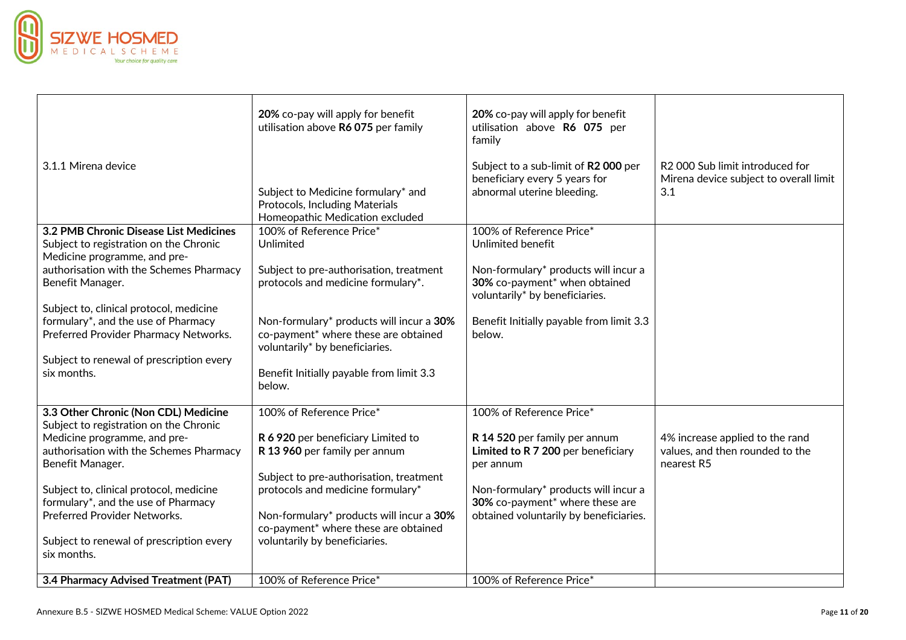

| 3.1.1 Mirena device                                                              | 20% co-pay will apply for benefit<br>utilisation above R6 075 per family<br>Subject to Medicine formulary* and<br>Protocols, Including Materials<br>Homeopathic Medication excluded | 20% co-pay will apply for benefit<br>utilisation above R6 075 per<br>family<br>Subject to a sub-limit of R2 000 per<br>beneficiary every 5 years for<br>abnormal uterine bleeding. | R2 000 Sub limit introduced for<br>Mirena device subject to overall limit<br>3.1 |
|----------------------------------------------------------------------------------|-------------------------------------------------------------------------------------------------------------------------------------------------------------------------------------|------------------------------------------------------------------------------------------------------------------------------------------------------------------------------------|----------------------------------------------------------------------------------|
| 3.2 PMB Chronic Disease List Medicines<br>Subject to registration on the Chronic | 100% of Reference Price*<br>Unlimited                                                                                                                                               | 100% of Reference Price*<br>Unlimited benefit                                                                                                                                      |                                                                                  |
| Medicine programme, and pre-                                                     |                                                                                                                                                                                     |                                                                                                                                                                                    |                                                                                  |
| authorisation with the Schemes Pharmacy<br>Benefit Manager.                      | Subject to pre-authorisation, treatment<br>protocols and medicine formulary*.                                                                                                       | Non-formulary* products will incur a<br>30% co-payment* when obtained<br>voluntarily* by beneficiaries.                                                                            |                                                                                  |
| Subject to, clinical protocol, medicine                                          |                                                                                                                                                                                     |                                                                                                                                                                                    |                                                                                  |
| formulary*, and the use of Pharmacy                                              | Non-formulary* products will incur a 30%                                                                                                                                            | Benefit Initially payable from limit 3.3                                                                                                                                           |                                                                                  |
| Preferred Provider Pharmacy Networks.                                            | co-payment* where these are obtained                                                                                                                                                | below.                                                                                                                                                                             |                                                                                  |
| Subject to renewal of prescription every                                         | voluntarily* by beneficiaries.                                                                                                                                                      |                                                                                                                                                                                    |                                                                                  |
| six months.                                                                      | Benefit Initially payable from limit 3.3<br>below.                                                                                                                                  |                                                                                                                                                                                    |                                                                                  |
| 3.3 Other Chronic (Non CDL) Medicine                                             | 100% of Reference Price*                                                                                                                                                            | 100% of Reference Price*                                                                                                                                                           |                                                                                  |
| Subject to registration on the Chronic                                           |                                                                                                                                                                                     |                                                                                                                                                                                    |                                                                                  |
| Medicine programme, and pre-                                                     | R 6 920 per beneficiary Limited to                                                                                                                                                  | R 14 520 per family per annum                                                                                                                                                      | 4% increase applied to the rand                                                  |
| authorisation with the Schemes Pharmacy<br>Benefit Manager.                      | R 13 960 per family per annum                                                                                                                                                       | Limited to R 7 200 per beneficiary<br>per annum                                                                                                                                    | values, and then rounded to the<br>nearest R5                                    |
|                                                                                  | Subject to pre-authorisation, treatment                                                                                                                                             |                                                                                                                                                                                    |                                                                                  |
| Subject to, clinical protocol, medicine                                          | protocols and medicine formulary*                                                                                                                                                   | Non-formulary* products will incur a                                                                                                                                               |                                                                                  |
| formulary*, and the use of Pharmacy<br><b>Preferred Provider Networks.</b>       |                                                                                                                                                                                     | 30% co-payment* where these are                                                                                                                                                    |                                                                                  |
|                                                                                  | Non-formulary* products will incur a 30%<br>co-payment* where these are obtained                                                                                                    | obtained voluntarily by beneficiaries.                                                                                                                                             |                                                                                  |
| Subject to renewal of prescription every                                         | voluntarily by beneficiaries.                                                                                                                                                       |                                                                                                                                                                                    |                                                                                  |
| six months.                                                                      |                                                                                                                                                                                     |                                                                                                                                                                                    |                                                                                  |
| 3.4 Pharmacy Advised Treatment (PAT)                                             | 100% of Reference Price*                                                                                                                                                            | 100% of Reference Price*                                                                                                                                                           |                                                                                  |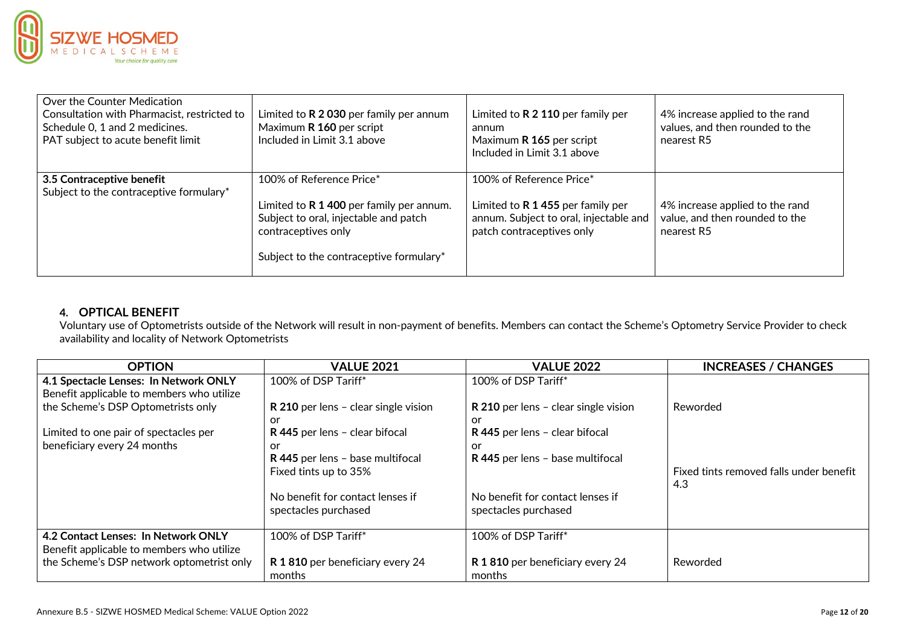

| Over the Counter Medication<br>Consultation with Pharmacist, restricted to<br>Schedule 0, 1 and 2 medicines.<br>PAT subject to acute benefit limit | Limited to $R$ 2 030 per family per annum<br>Maximum R 160 per script<br>Included in Limit 3.1 above                                                                              | Limited to $R$ 2 110 per family per<br>annum<br>Maximum R 165 per script<br>Included in Limit 3.1 above                                | 4% increase applied to the rand<br>values, and then rounded to the<br>nearest R5 |
|----------------------------------------------------------------------------------------------------------------------------------------------------|-----------------------------------------------------------------------------------------------------------------------------------------------------------------------------------|----------------------------------------------------------------------------------------------------------------------------------------|----------------------------------------------------------------------------------|
| 3.5 Contraceptive benefit<br>Subject to the contraceptive formulary*                                                                               | 100% of Reference Price*<br>Limited to $R$ 1 400 per family per annum.<br>Subject to oral, injectable and patch<br>contraceptives only<br>Subject to the contraceptive formulary* | 100% of Reference Price*<br>Limited to $R$ 1 455 per family per<br>annum. Subject to oral, injectable and<br>patch contraceptives only | 4% increase applied to the rand<br>value, and then rounded to the<br>nearest R5  |

## **4. OPTICAL BENEFIT**

Voluntary use of Optometrists outside of the Network will result in non-payment of benefits. Members can contact the Scheme's Optometry Service Provider to check availability and locality of Network Optometrists

| <b>OPTION</b>                             | <b>VALUE 2021</b>                    | <b>VALUE 2022</b>                    | <b>INCREASES / CHANGES</b>              |
|-------------------------------------------|--------------------------------------|--------------------------------------|-----------------------------------------|
| 4.1 Spectacle Lenses: In Network ONLY     | 100% of DSP Tariff*                  | 100% of DSP Tariff*                  |                                         |
| Benefit applicable to members who utilize |                                      |                                      |                                         |
| the Scheme's DSP Optometrists only        | R 210 per lens - clear single vision | R 210 per lens - clear single vision | Reworded                                |
|                                           | or                                   | or                                   |                                         |
| Limited to one pair of spectacles per     | R 445 per lens - clear bifocal       | R 445 per lens - clear bifocal       |                                         |
| beneficiary every 24 months               | or                                   | or                                   |                                         |
|                                           | R 445 per lens - base multifocal     | R 445 per lens - base multifocal     |                                         |
|                                           | Fixed tints up to 35%                |                                      | Fixed tints removed falls under benefit |
|                                           |                                      |                                      | 4.3                                     |
|                                           | No benefit for contact lenses if     | No benefit for contact lenses if     |                                         |
|                                           | spectacles purchased                 | spectacles purchased                 |                                         |
|                                           |                                      |                                      |                                         |
| 4.2 Contact Lenses: In Network ONLY       | 100% of DSP Tariff*                  | 100% of DSP Tariff*                  |                                         |
| Benefit applicable to members who utilize |                                      |                                      |                                         |
| the Scheme's DSP network optometrist only | R 1810 per beneficiary every 24      | R 1810 per beneficiary every 24      | Reworded                                |
|                                           | months                               | months                               |                                         |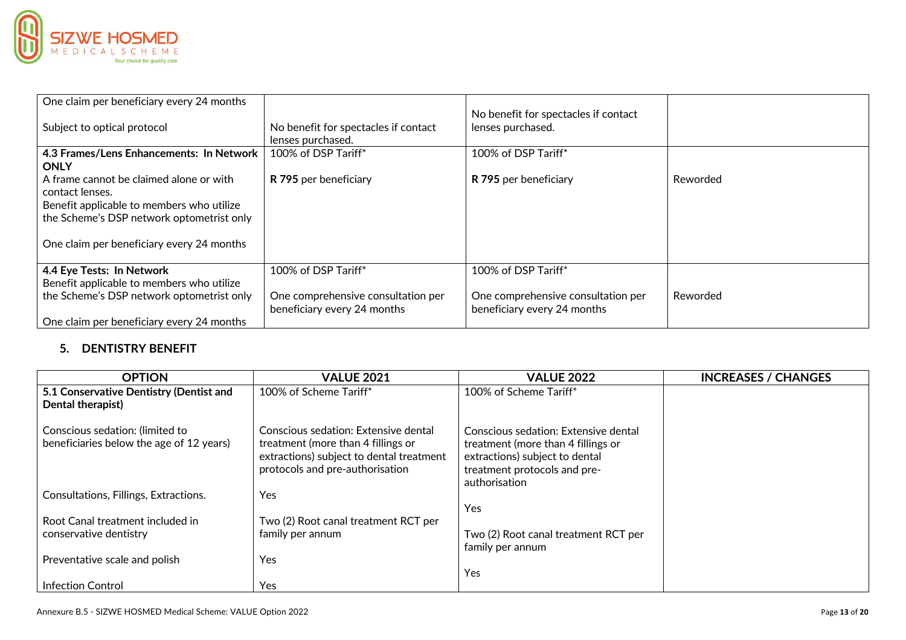

| One claim per beneficiary every 24 months                                              |                                                                   | No benefit for spectacles if contact                              |          |
|----------------------------------------------------------------------------------------|-------------------------------------------------------------------|-------------------------------------------------------------------|----------|
| Subject to optical protocol                                                            | No benefit for spectacles if contact<br>lenses purchased.         | lenses purchased.                                                 |          |
| 4.3 Frames/Lens Enhancements: In Network<br><b>ONLY</b>                                | 100% of DSP Tariff*                                               | 100% of DSP Tariff*                                               |          |
| A frame cannot be claimed alone or with<br>contact lenses.                             | R 795 per beneficiary                                             | R 795 per beneficiary                                             | Reworded |
| Benefit applicable to members who utilize<br>the Scheme's DSP network optometrist only |                                                                   |                                                                   |          |
|                                                                                        |                                                                   |                                                                   |          |
| One claim per beneficiary every 24 months                                              |                                                                   |                                                                   |          |
| 4.4 Eye Tests: In Network<br>Benefit applicable to members who utilize                 | 100% of DSP Tariff*                                               | 100% of DSP Tariff*                                               |          |
| the Scheme's DSP network optometrist only                                              | One comprehensive consultation per<br>beneficiary every 24 months | One comprehensive consultation per<br>beneficiary every 24 months | Reworded |
| One claim per beneficiary every 24 months                                              |                                                                   |                                                                   |          |

## **5. DENTISTRY BENEFIT**

| <b>OPTION</b>                                                               | <b>VALUE 2021</b>                                                                                                                                         | <b>VALUE 2022</b>                                                                                                                                             | <b>INCREASES / CHANGES</b> |
|-----------------------------------------------------------------------------|-----------------------------------------------------------------------------------------------------------------------------------------------------------|---------------------------------------------------------------------------------------------------------------------------------------------------------------|----------------------------|
| 5.1 Conservative Dentistry (Dentist and<br>Dental therapist)                | 100% of Scheme Tariff*                                                                                                                                    | 100% of Scheme Tariff*                                                                                                                                        |                            |
|                                                                             |                                                                                                                                                           |                                                                                                                                                               |                            |
| Conscious sedation: (limited to<br>beneficiaries below the age of 12 years) | Conscious sedation: Extensive dental<br>treatment (more than 4 fillings or<br>extractions) subject to dental treatment<br>protocols and pre-authorisation | Conscious sedation: Extensive dental<br>treatment (more than 4 fillings or<br>extractions) subject to dental<br>treatment protocols and pre-<br>authorisation |                            |
| Consultations, Fillings, Extractions.                                       | Yes                                                                                                                                                       |                                                                                                                                                               |                            |
|                                                                             |                                                                                                                                                           | Yes                                                                                                                                                           |                            |
| Root Canal treatment included in                                            | Two (2) Root canal treatment RCT per                                                                                                                      |                                                                                                                                                               |                            |
| conservative dentistry                                                      | family per annum                                                                                                                                          | Two (2) Root canal treatment RCT per<br>family per annum                                                                                                      |                            |
| Preventative scale and polish                                               | Yes                                                                                                                                                       |                                                                                                                                                               |                            |
|                                                                             |                                                                                                                                                           | Yes                                                                                                                                                           |                            |
| <b>Infection Control</b>                                                    | Yes                                                                                                                                                       |                                                                                                                                                               |                            |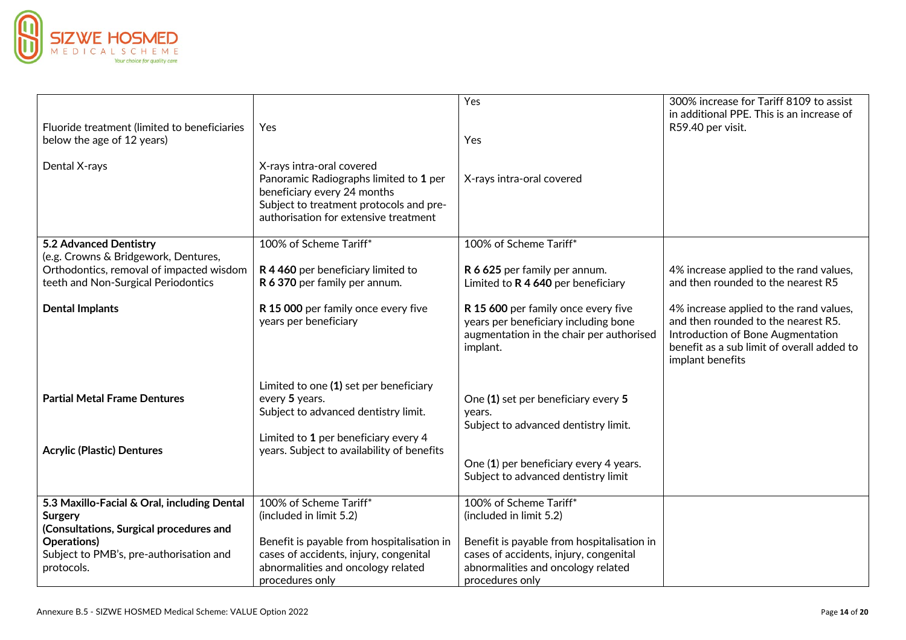

| Fluoride treatment (limited to beneficiaries<br>below the age of 12 years)                                              | Yes                                                                                                                                                                                    | Yes<br>Yes                                                                                                                                    | 300% increase for Tariff 8109 to assist<br>in additional PPE. This is an increase of<br>R59.40 per visit.                                                                             |
|-------------------------------------------------------------------------------------------------------------------------|----------------------------------------------------------------------------------------------------------------------------------------------------------------------------------------|-----------------------------------------------------------------------------------------------------------------------------------------------|---------------------------------------------------------------------------------------------------------------------------------------------------------------------------------------|
| Dental X-rays                                                                                                           | X-rays intra-oral covered<br>Panoramic Radiographs limited to 1 per<br>beneficiary every 24 months<br>Subject to treatment protocols and pre-<br>authorisation for extensive treatment | X-rays intra-oral covered                                                                                                                     |                                                                                                                                                                                       |
| 5.2 Advanced Dentistry                                                                                                  | 100% of Scheme Tariff*                                                                                                                                                                 | 100% of Scheme Tariff*                                                                                                                        |                                                                                                                                                                                       |
| (e.g. Crowns & Bridgework, Dentures,<br>Orthodontics, removal of impacted wisdom<br>teeth and Non-Surgical Periodontics | R 4 460 per beneficiary limited to<br>R 6 370 per family per annum.                                                                                                                    | R 6 625 per family per annum.<br>Limited to R 4 640 per beneficiary                                                                           | 4% increase applied to the rand values,<br>and then rounded to the nearest R5                                                                                                         |
| <b>Dental Implants</b>                                                                                                  | R 15 000 per family once every five<br>years per beneficiary                                                                                                                           | R 15 600 per family once every five<br>years per beneficiary including bone<br>augmentation in the chair per authorised<br>implant.           | 4% increase applied to the rand values,<br>and then rounded to the nearest R5.<br>Introduction of Bone Augmentation<br>benefit as a sub limit of overall added to<br>implant benefits |
| <b>Partial Metal Frame Dentures</b>                                                                                     | Limited to one (1) set per beneficiary<br>every 5 years.<br>Subject to advanced dentistry limit.<br>Limited to 1 per beneficiary every 4                                               | One (1) set per beneficiary every 5<br>vears.<br>Subject to advanced dentistry limit.                                                         |                                                                                                                                                                                       |
| <b>Acrylic (Plastic) Dentures</b>                                                                                       | years. Subject to availability of benefits                                                                                                                                             | One (1) per beneficiary every 4 years.<br>Subject to advanced dentistry limit                                                                 |                                                                                                                                                                                       |
| 5.3 Maxillo-Facial & Oral, including Dental<br><b>Surgery</b>                                                           | 100% of Scheme Tariff*<br>(included in limit 5.2)                                                                                                                                      | 100% of Scheme Tariff*<br>(included in limit 5.2)                                                                                             |                                                                                                                                                                                       |
| (Consultations, Surgical procedures and<br>Operations)<br>Subject to PMB's, pre-authorisation and<br>protocols.         | Benefit is payable from hospitalisation in<br>cases of accidents, injury, congenital<br>abnormalities and oncology related<br>procedures only                                          | Benefit is payable from hospitalisation in<br>cases of accidents, injury, congenital<br>abnormalities and oncology related<br>procedures only |                                                                                                                                                                                       |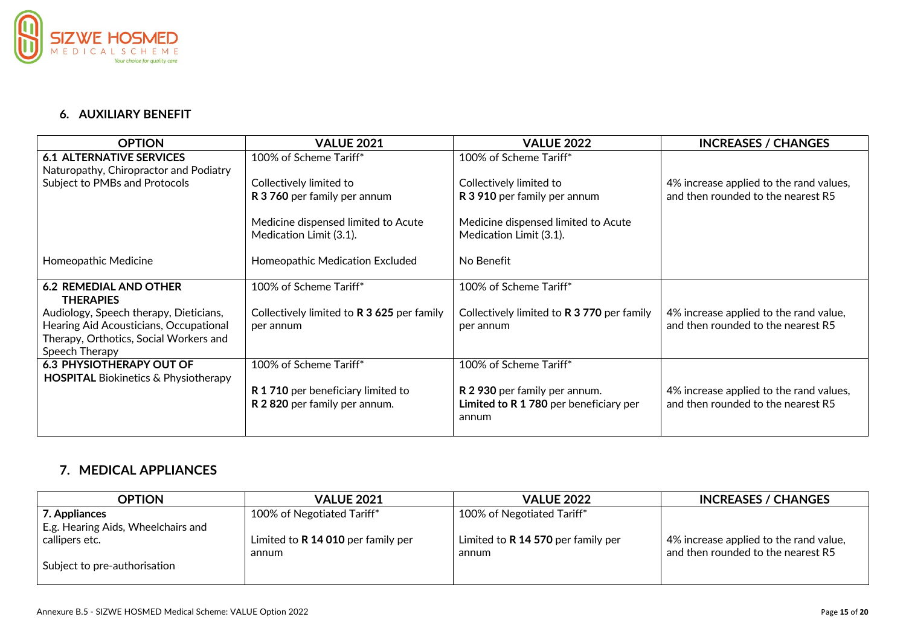

## **6. AUXILIARY BENEFIT**

| <b>OPTION</b>                                                                                                                                | <b>VALUE 2021</b>                                                 | <b>VALUE 2022</b>                                                                | <b>INCREASES / CHANGES</b>                                                    |
|----------------------------------------------------------------------------------------------------------------------------------------------|-------------------------------------------------------------------|----------------------------------------------------------------------------------|-------------------------------------------------------------------------------|
| <b>6.1 ALTERNATIVE SERVICES</b><br>Naturopathy, Chiropractor and Podiatry                                                                    | 100% of Scheme Tariff*                                            | 100% of Scheme Tariff*                                                           |                                                                               |
| Subject to PMBs and Protocols                                                                                                                | Collectively limited to<br>R 3 760 per family per annum           | Collectively limited to<br>R 3 910 per family per annum                          | 4% increase applied to the rand values,<br>and then rounded to the nearest R5 |
|                                                                                                                                              | Medicine dispensed limited to Acute<br>Medication Limit (3.1).    | Medicine dispensed limited to Acute<br>Medication Limit (3.1).                   |                                                                               |
| Homeopathic Medicine                                                                                                                         | Homeopathic Medication Excluded                                   | No Benefit                                                                       |                                                                               |
| <b>6.2 REMEDIAL AND OTHER</b><br><b>THERAPIES</b>                                                                                            | 100% of Scheme Tariff*                                            | 100% of Scheme Tariff*                                                           |                                                                               |
| Audiology, Speech therapy, Dieticians,<br>Hearing Aid Acousticians, Occupational<br>Therapy, Orthotics, Social Workers and<br>Speech Therapy | Collectively limited to R 3 625 per family<br>per annum           | Collectively limited to <b>R 3 770</b> per family<br>per annum                   | 4% increase applied to the rand value,<br>and then rounded to the nearest R5  |
| <b>6.3 PHYSIOTHERAPY OUT OF</b><br><b>HOSPITAL Biokinetics &amp; Physiotherapy</b>                                                           | 100% of Scheme Tariff*                                            | 100% of Scheme Tariff*                                                           |                                                                               |
|                                                                                                                                              | R 1710 per beneficiary limited to<br>R 2820 per family per annum. | R 2 930 per family per annum.<br>Limited to R 1 780 per beneficiary per<br>annum | 4% increase applied to the rand values,<br>and then rounded to the nearest R5 |

## **7. MEDICAL APPLIANCES**

| <b>OPTION</b>                      | <b>VALUE 2021</b>                  | <b>VALUE 2022</b>                  | <b>INCREASES / CHANGES</b>             |
|------------------------------------|------------------------------------|------------------------------------|----------------------------------------|
| $\mid$ 7. Appliances               | 100% of Negotiated Tariff*         | 100% of Negotiated Tariff*         |                                        |
| E.g. Hearing Aids, Wheelchairs and |                                    |                                    |                                        |
| callipers etc.                     | Limited to R 14 010 per family per | Limited to R 14 570 per family per | 4% increase applied to the rand value, |
|                                    | annum                              | annum                              | and then rounded to the nearest R5     |
| Subject to pre-authorisation       |                                    |                                    |                                        |
|                                    |                                    |                                    |                                        |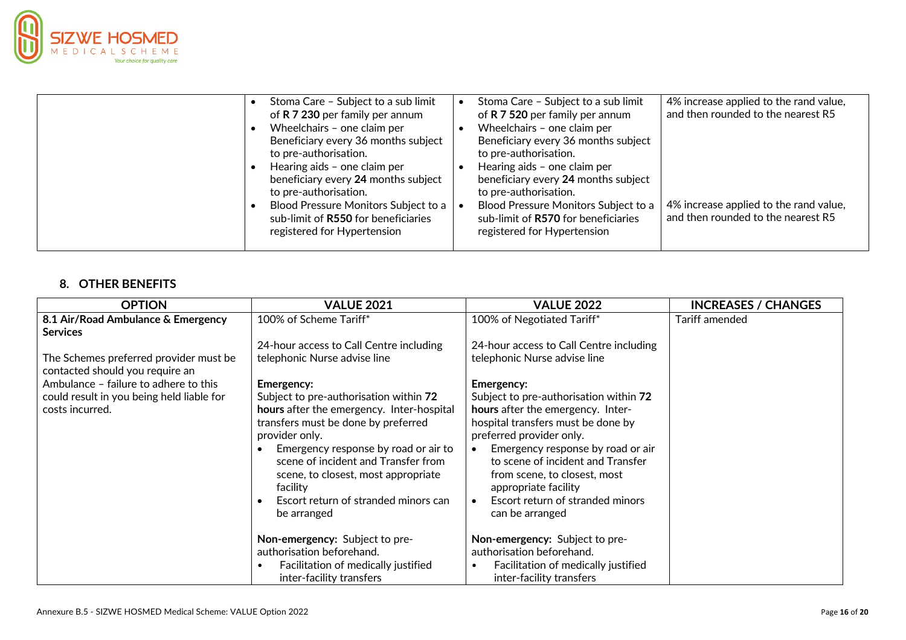

|  | Stoma Care - Subject to a sub limit                                                                                                  | Stoma Care - Subject to a sub limit                                                                                                                                         | 4% increase applied to the rand value,                                       |
|--|--------------------------------------------------------------------------------------------------------------------------------------|-----------------------------------------------------------------------------------------------------------------------------------------------------------------------------|------------------------------------------------------------------------------|
|  | of R 7 230 per family per annum<br>Wheelchairs - one claim per<br>Beneficiary every 36 months subject<br>to pre-authorisation.       | of R 7 520 per family per annum<br>Wheelchairs - one claim per<br>Beneficiary every 36 months subject<br>to pre-authorisation.                                              | and then rounded to the nearest R5                                           |
|  | Hearing aids - one claim per<br>beneficiary every 24 months subject<br>to pre-authorisation.<br>Blood Pressure Monitors Subject to a | Hearing aids - one claim per<br>beneficiary every 24 months subject<br>to pre-authorisation.<br>Blood Pressure Monitors Subject to a<br>sub-limit of R570 for beneficiaries | 4% increase applied to the rand value,<br>and then rounded to the nearest R5 |
|  | sub-limit of R550 for beneficiaries<br>registered for Hypertension                                                                   | registered for Hypertension                                                                                                                                                 |                                                                              |

## **8. OTHER BENEFITS**

| <b>OPTION</b>                                                             | <b>VALUE 2021</b>                                                                                                                                                                                                                                                                                                                     | <b>VALUE 2022</b>                                                                                                                                                                                                                                                                                                                                   | <b>INCREASES / CHANGES</b> |
|---------------------------------------------------------------------------|---------------------------------------------------------------------------------------------------------------------------------------------------------------------------------------------------------------------------------------------------------------------------------------------------------------------------------------|-----------------------------------------------------------------------------------------------------------------------------------------------------------------------------------------------------------------------------------------------------------------------------------------------------------------------------------------------------|----------------------------|
| 8.1 Air/Road Ambulance & Emergency<br><b>Services</b>                     | 100% of Scheme Tariff*                                                                                                                                                                                                                                                                                                                | 100% of Negotiated Tariff*                                                                                                                                                                                                                                                                                                                          | Tariff amended             |
|                                                                           | 24-hour access to Call Centre including                                                                                                                                                                                                                                                                                               | 24-hour access to Call Centre including                                                                                                                                                                                                                                                                                                             |                            |
| The Schemes preferred provider must be<br>contacted should you require an | telephonic Nurse advise line                                                                                                                                                                                                                                                                                                          | telephonic Nurse advise line                                                                                                                                                                                                                                                                                                                        |                            |
| Ambulance - failure to adhere to this                                     | Emergency:                                                                                                                                                                                                                                                                                                                            | Emergency:                                                                                                                                                                                                                                                                                                                                          |                            |
| could result in you being held liable for<br>costs incurred.              | Subject to pre-authorisation within 72<br>hours after the emergency. Inter-hospital<br>transfers must be done by preferred<br>provider only.<br>Emergency response by road or air to<br>scene of incident and Transfer from<br>scene, to closest, most appropriate<br>facility<br>Escort return of stranded minors can<br>be arranged | Subject to pre-authorisation within 72<br>hours after the emergency. Inter-<br>hospital transfers must be done by<br>preferred provider only.<br>Emergency response by road or air<br>$\bullet$<br>to scene of incident and Transfer<br>from scene, to closest, most<br>appropriate facility<br>Escort return of stranded minors<br>can be arranged |                            |
|                                                                           | Non-emergency: Subject to pre-                                                                                                                                                                                                                                                                                                        | Non-emergency: Subject to pre-                                                                                                                                                                                                                                                                                                                      |                            |
|                                                                           | authorisation beforehand.                                                                                                                                                                                                                                                                                                             | authorisation beforehand.                                                                                                                                                                                                                                                                                                                           |                            |
|                                                                           | Facilitation of medically justified<br>$\bullet$<br>inter-facility transfers                                                                                                                                                                                                                                                          | Facilitation of medically justified<br>inter-facility transfers                                                                                                                                                                                                                                                                                     |                            |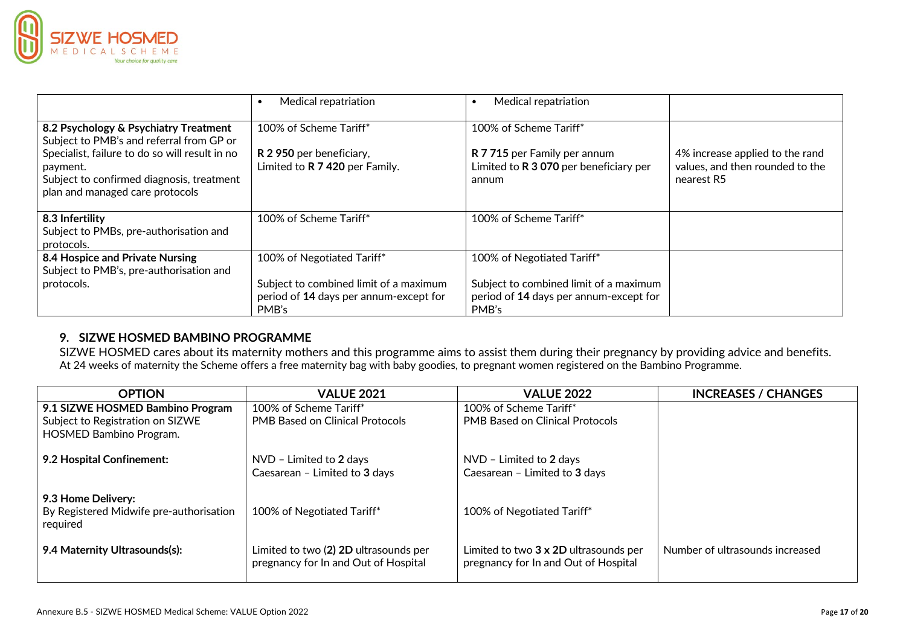

|                                                                                                                                            | Medical repatriation                                                                      | Medical repatriation<br>$\bullet$                                                         |                                                                                  |
|--------------------------------------------------------------------------------------------------------------------------------------------|-------------------------------------------------------------------------------------------|-------------------------------------------------------------------------------------------|----------------------------------------------------------------------------------|
| 8.2 Psychology & Psychiatry Treatment<br>Subject to PMB's and referral from GP or                                                          | 100% of Scheme Tariff*                                                                    | 100% of Scheme Tariff*                                                                    |                                                                                  |
| Specialist, failure to do so will result in no<br>payment.<br>Subject to confirmed diagnosis, treatment<br>plan and managed care protocols | R 2 950 per beneficiary,<br>Limited to R 7 420 per Family.                                | R 7 715 per Family per annum<br>Limited to R 3 070 per beneficiary per<br>annum           | 4% increase applied to the rand<br>values, and then rounded to the<br>nearest R5 |
| 8.3 Infertility<br>Subject to PMBs, pre-authorisation and<br>protocols.                                                                    | 100% of Scheme Tariff*                                                                    | 100% of Scheme Tariff*                                                                    |                                                                                  |
| 8.4 Hospice and Private Nursing<br>Subject to PMB's, pre-authorisation and                                                                 | 100% of Negotiated Tariff*                                                                | 100% of Negotiated Tariff*                                                                |                                                                                  |
| protocols.                                                                                                                                 | Subject to combined limit of a maximum<br>period of 14 days per annum-except for<br>PMB's | Subject to combined limit of a maximum<br>period of 14 days per annum-except for<br>PMB's |                                                                                  |

## **9. SIZWE HOSMED BAMBINO PROGRAMME**

SIZWE HOSMED cares about its maternity mothers and this programme aims to assist them during their pregnancy by providing advice and benefits. At 24 weeks of maternity the Scheme offers a free maternity bag with baby goodies, to pregnant women registered on the Bambino Programme.

| <b>OPTION</b>                                                             | <b>VALUE 2021</b>                                                             | <b>VALUE 2022</b>                                                             | <b>INCREASES / CHANGES</b>      |
|---------------------------------------------------------------------------|-------------------------------------------------------------------------------|-------------------------------------------------------------------------------|---------------------------------|
| 9.1 SIZWE HOSMED Bambino Program                                          | 100% of Scheme Tariff*                                                        | 100% of Scheme Tariff*                                                        |                                 |
| Subject to Registration on SIZWE                                          | <b>PMB Based on Clinical Protocols</b>                                        | <b>PMB Based on Clinical Protocols</b>                                        |                                 |
| <b>HOSMED Bambino Program.</b>                                            |                                                                               |                                                                               |                                 |
| 9.2 Hospital Confinement:                                                 | NVD - Limited to 2 days<br>Caesarean - Limited to 3 days                      | NVD - Limited to 2 days<br>Caesarean - Limited to 3 days                      |                                 |
| 9.3 Home Delivery:<br>By Registered Midwife pre-authorisation<br>required | 100% of Negotiated Tariff*                                                    | 100% of Negotiated Tariff*                                                    |                                 |
| 9.4 Maternity Ultrasounds(s):                                             | Limited to two (2) 2D ultrasounds per<br>pregnancy for In and Out of Hospital | Limited to two 3 x 2D ultrasounds per<br>pregnancy for In and Out of Hospital | Number of ultrasounds increased |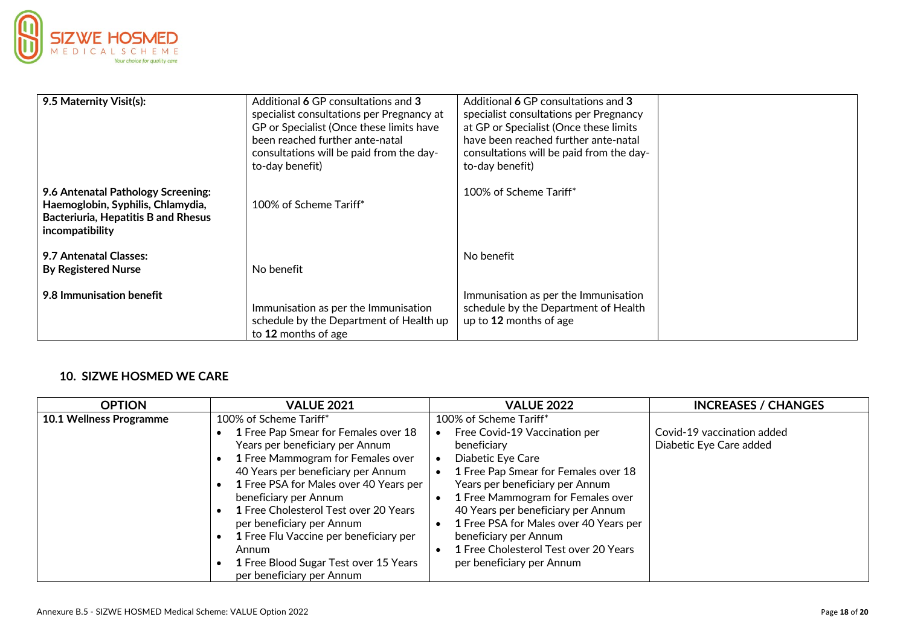

| 9.5 Maternity Visit(s):                                                                                                           | Additional 6 GP consultations and 3<br>specialist consultations per Pregnancy at<br>GP or Specialist (Once these limits have<br>been reached further ante-natal<br>consultations will be paid from the day-<br>to-day benefit) | Additional 6 GP consultations and 3<br>specialist consultations per Pregnancy<br>at GP or Specialist (Once these limits<br>have been reached further ante-natal<br>consultations will be paid from the day-<br>to-day benefit) |  |
|-----------------------------------------------------------------------------------------------------------------------------------|--------------------------------------------------------------------------------------------------------------------------------------------------------------------------------------------------------------------------------|--------------------------------------------------------------------------------------------------------------------------------------------------------------------------------------------------------------------------------|--|
| 9.6 Antenatal Pathology Screening:<br>Haemoglobin, Syphilis, Chlamydia,<br>Bacteriuria, Hepatitis B and Rhesus<br>incompatibility | 100% of Scheme Tariff*                                                                                                                                                                                                         | 100% of Scheme Tariff*                                                                                                                                                                                                         |  |
| 9.7 Antenatal Classes:<br><b>By Registered Nurse</b>                                                                              | No benefit                                                                                                                                                                                                                     | No benefit                                                                                                                                                                                                                     |  |
| 9.8 Immunisation benefit                                                                                                          | Immunisation as per the Immunisation<br>schedule by the Department of Health up<br>to 12 months of age                                                                                                                         | Immunisation as per the Immunisation<br>schedule by the Department of Health<br>up to 12 months of age                                                                                                                         |  |

## **10. SIZWE HOSMED WE CARE**

| <b>OPTION</b>                  | <b>VALUE 2021</b>                                                                                                                                                                                                                                                                                                                                                                                                    | <b>VALUE 2022</b>                                                                                                                                                                                                                                                                                                                                                | <b>INCREASES / CHANGES</b>                            |
|--------------------------------|----------------------------------------------------------------------------------------------------------------------------------------------------------------------------------------------------------------------------------------------------------------------------------------------------------------------------------------------------------------------------------------------------------------------|------------------------------------------------------------------------------------------------------------------------------------------------------------------------------------------------------------------------------------------------------------------------------------------------------------------------------------------------------------------|-------------------------------------------------------|
| <b>10.1 Wellness Programme</b> | 100% of Scheme Tariff*                                                                                                                                                                                                                                                                                                                                                                                               | 100% of Scheme Tariff*                                                                                                                                                                                                                                                                                                                                           |                                                       |
|                                | 1 Free Pap Smear for Females over 18<br>Years per beneficiary per Annum<br>1 Free Mammogram for Females over<br>40 Years per beneficiary per Annum<br>1 Free PSA for Males over 40 Years per<br>beneficiary per Annum<br>1 Free Cholesterol Test over 20 Years<br>per beneficiary per Annum<br>1 Free Flu Vaccine per beneficiary per<br>Annum<br>1 Free Blood Sugar Test over 15 Years<br>per beneficiary per Annum | Free Covid-19 Vaccination per<br>beneficiary<br>Diabetic Eye Care<br>1 Free Pap Smear for Females over 18<br>Years per beneficiary per Annum<br>1 Free Mammogram for Females over<br>40 Years per beneficiary per Annum<br>1 Free PSA for Males over 40 Years per<br>beneficiary per Annum<br>1 Free Cholesterol Test over 20 Years<br>per beneficiary per Annum | Covid-19 vaccination added<br>Diabetic Eye Care added |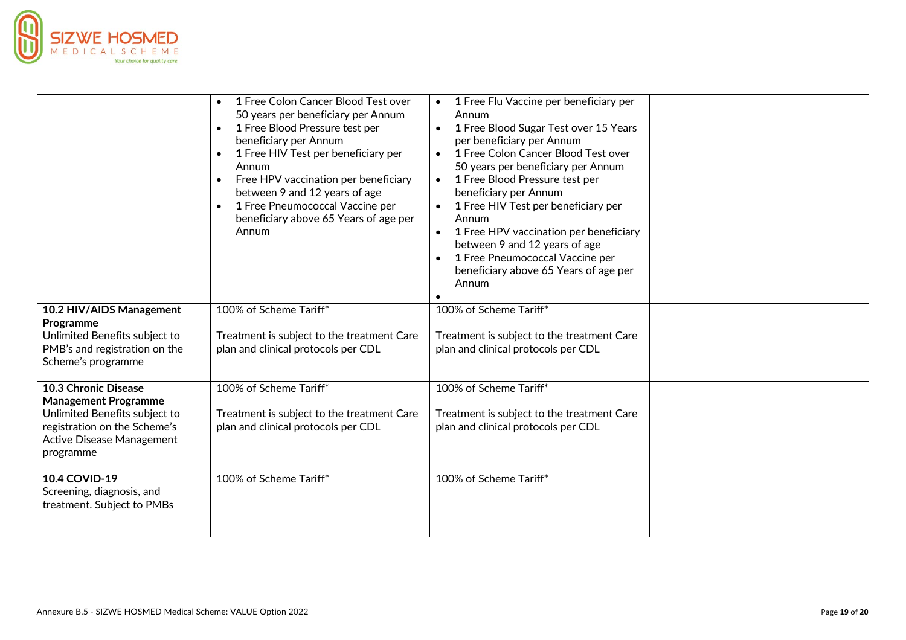

|                                                                                                                                                                | 1 Free Colon Cancer Blood Test over<br>$\bullet$<br>50 years per beneficiary per Annum<br>1 Free Blood Pressure test per<br>$\bullet$<br>beneficiary per Annum<br>1 Free HIV Test per beneficiary per<br>$\bullet$<br>Annum<br>Free HPV vaccination per beneficiary<br>between 9 and 12 years of age<br>1 Free Pneumococcal Vaccine per<br>$\bullet$<br>beneficiary above 65 Years of age per<br>Annum | 1 Free Flu Vaccine per beneficiary per<br>Annum<br>1 Free Blood Sugar Test over 15 Years<br>per beneficiary per Annum<br>1 Free Colon Cancer Blood Test over<br>$\bullet$<br>50 years per beneficiary per Annum<br>1 Free Blood Pressure test per<br>$\bullet$<br>beneficiary per Annum<br>1 Free HIV Test per beneficiary per<br>$\bullet$<br>Annum<br>1 Free HPV vaccination per beneficiary<br>$\bullet$<br>between 9 and 12 years of age<br>1 Free Pneumococcal Vaccine per<br>$\bullet$<br>beneficiary above 65 Years of age per<br>Annum |  |
|----------------------------------------------------------------------------------------------------------------------------------------------------------------|--------------------------------------------------------------------------------------------------------------------------------------------------------------------------------------------------------------------------------------------------------------------------------------------------------------------------------------------------------------------------------------------------------|------------------------------------------------------------------------------------------------------------------------------------------------------------------------------------------------------------------------------------------------------------------------------------------------------------------------------------------------------------------------------------------------------------------------------------------------------------------------------------------------------------------------------------------------|--|
| 10.2 HIV/AIDS Management<br>Programme<br>Unlimited Benefits subject to<br>PMB's and registration on the<br>Scheme's programme                                  | 100% of Scheme Tariff*<br>Treatment is subject to the treatment Care<br>plan and clinical protocols per CDL                                                                                                                                                                                                                                                                                            | 100% of Scheme Tariff*<br>Treatment is subject to the treatment Care<br>plan and clinical protocols per CDL                                                                                                                                                                                                                                                                                                                                                                                                                                    |  |
| 10.3 Chronic Disease<br><b>Management Programme</b><br>Unlimited Benefits subject to<br>registration on the Scheme's<br>Active Disease Management<br>programme | 100% of Scheme Tariff*<br>Treatment is subject to the treatment Care<br>plan and clinical protocols per CDL                                                                                                                                                                                                                                                                                            | 100% of Scheme Tariff*<br>Treatment is subject to the treatment Care<br>plan and clinical protocols per CDL                                                                                                                                                                                                                                                                                                                                                                                                                                    |  |
| 10.4 COVID-19<br>Screening, diagnosis, and<br>treatment. Subject to PMBs                                                                                       | 100% of Scheme Tariff*                                                                                                                                                                                                                                                                                                                                                                                 | 100% of Scheme Tariff*                                                                                                                                                                                                                                                                                                                                                                                                                                                                                                                         |  |